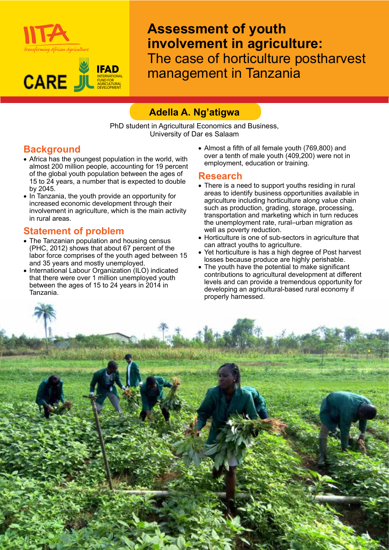



**Assessment of youth involvement in agriculture:**  The case of horticulture postharvest management in Tanzania

# **Adella A. Ng'atigwa**

PhD student in Agricultural Economics and Business, University of Dar es Salaam

### **Background**

- Africa has the youngest population in the world, with almost 200 million people, accounting for 19 percent of the global youth population between the ages of 15 to 24 years, a number that is expected to double by 2045.
- In Tanzania, the youth provide an opportunity for increased economic development through their involvement in agriculture, which is the main activity in rural areas.

### **Statement of problem**

- The Tanzanian population and housing census (PHC, 2012) shows that about 67 percent of the labor force comprises of the youth aged between 15 and 35 years and mostly unemployed.
- International Labour Organization (ILO) indicated that there were over 1 million unemployed youth between the ages of 15 to 24 years in 2014 in Tanzania.

• Almost a fifth of all female youth (769,800) and over a tenth of male youth (409,200) were not in employment, education or training.

#### **Research**

- There is a need to support youths residing in rural areas to identify business opportunities available in agriculture including horticulture along value chain such as production, grading, storage, processing, transportation and marketing which in turn reduces the unemployment rate, rural-urban migration as well as poverty reduction.
- Horticulture is one of sub-sectors in agriculture that can attract youths to agriculture.
- Yet horticulture is has a high degree of Post harvest losses because produce are highly perishable.
- The youth have the potential to make significant contributions to agricultural development at different levels and can provide a tremendous opportunity for developing an agricultural-based rural economy if properly harnessed.